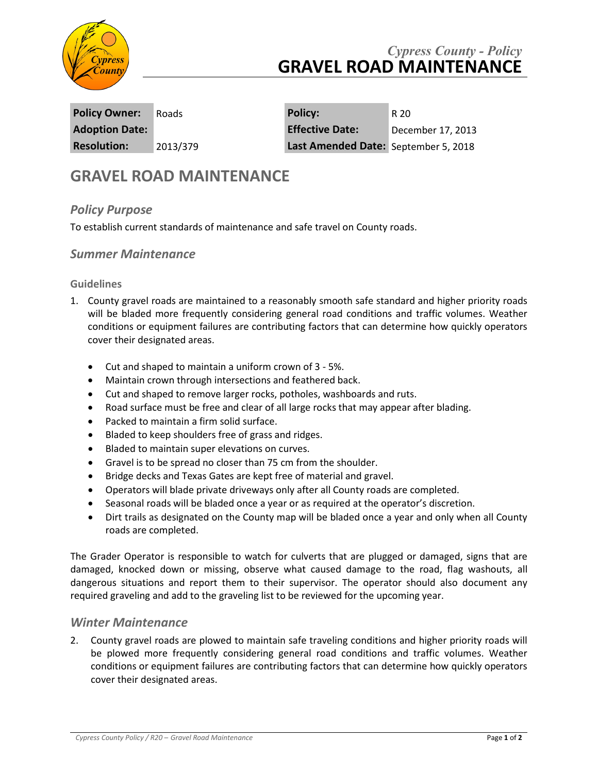

## *Cypress County - Policy* **GRAVEL ROAD MAINTENANCE**

**Policy Owner:** Roads **Policy:** R 20 **Adoption Date: Effective Date:** December 17, 2013 **Resolution:** 2013/379 **Last Amended Date:** September 5, 2018

# **GRAVEL ROAD MAINTENANCE**

## *Policy Purpose*

To establish current standards of maintenance and safe travel on County roads.

### *Summer Maintenance*

#### **Guidelines**

- 1. County gravel roads are maintained to a reasonably smooth safe standard and higher priority roads will be bladed more frequently considering general road conditions and traffic volumes. Weather conditions or equipment failures are contributing factors that can determine how quickly operators cover their designated areas.
	- Cut and shaped to maintain a uniform crown of 3 5%.
	- Maintain crown through intersections and feathered back.
	- Cut and shaped to remove larger rocks, potholes, washboards and ruts.
	- Road surface must be free and clear of all large rocks that may appear after blading.
	- Packed to maintain a firm solid surface.
	- Bladed to keep shoulders free of grass and ridges.
	- Bladed to maintain super elevations on curves.
	- Gravel is to be spread no closer than 75 cm from the shoulder.
	- Bridge decks and Texas Gates are kept free of material and gravel.
	- Operators will blade private driveways only after all County roads are completed.
	- Seasonal roads will be bladed once a year or as required at the operator's discretion.
	- Dirt trails as designated on the County map will be bladed once a year and only when all County roads are completed.

The Grader Operator is responsible to watch for culverts that are plugged or damaged, signs that are damaged, knocked down or missing, observe what caused damage to the road, flag washouts, all dangerous situations and report them to their supervisor. The operator should also document any required graveling and add to the graveling list to be reviewed for the upcoming year.

#### *Winter Maintenance*

2. County gravel roads are plowed to maintain safe traveling conditions and higher priority roads will be plowed more frequently considering general road conditions and traffic volumes. Weather conditions or equipment failures are contributing factors that can determine how quickly operators cover their designated areas.